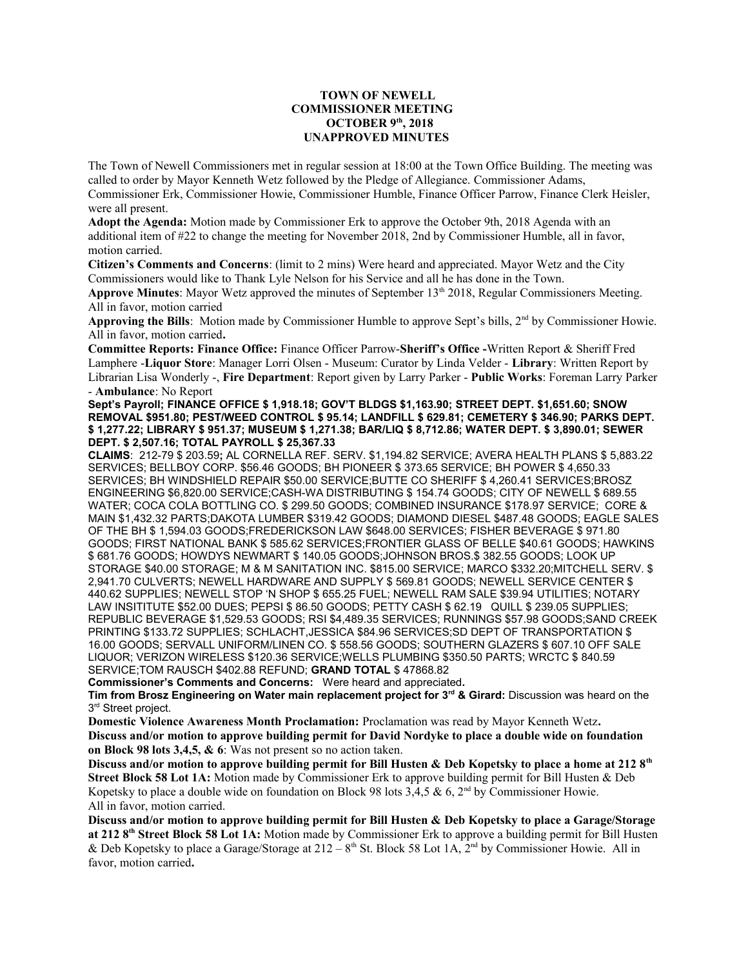## **TOWN OF NEWELL COMMISSIONER MEETING OCTOBER 9th, 2018 UNAPPROVED MINUTES**

The Town of Newell Commissioners met in regular session at 18:00 at the Town Office Building. The meeting was called to order by Mayor Kenneth Wetz followed by the Pledge of Allegiance. Commissioner Adams, Commissioner Erk, Commissioner Howie, Commissioner Humble, Finance Officer Parrow, Finance Clerk Heisler, were all present.

**Adopt the Agenda:** Motion made by Commissioner Erk to approve the October 9th, 2018 Agenda with an additional item of #22 to change the meeting for November 2018, 2nd by Commissioner Humble, all in favor, motion carried.

**Citizen's Comments and Concerns**: (limit to 2 mins) Were heard and appreciated. Mayor Wetz and the City Commissioners would like to Thank Lyle Nelson for his Service and all he has done in the Town.

**Approve Minutes**: Mayor Wetz approved the minutes of September 13th 2018, Regular Commissioners Meeting. All in favor, motion carried

**Approving the Bills**: Motion made by Commissioner Humble to approve Sept's bills, 2nd by Commissioner Howie. All in favor, motion carried**.**

**Committee Reports: Finance Office:** Finance Officer Parrow-**Sheriff's Office -**Written Report & Sheriff Fred Lamphere -**Liquor Store**: Manager Lorri Olsen - Museum: Curator by Linda Velder - **Library**: Written Report by Librarian Lisa Wonderly -, **Fire Department**: Report given by Larry Parker - **Public Works**: Foreman Larry Parker - **Ambulance**: No Report

**Sept's Payroll; FINANCE OFFICE \$ 1,918.18; GOV'T BLDGS \$1,163.90; STREET DEPT. \$1,651.60; SNOW REMOVAL \$951.80; PEST/WEED CONTROL \$ 95.14; LANDFILL \$ 629.81; CEMETERY \$ 346.90; PARKS DEPT. \$ 1,277.22; LIBRARY \$ 951.37; MUSEUM \$ 1,271.38; BAR/LIQ \$ 8,712.86; WATER DEPT. \$ 3,890.01; SEWER DEPT. \$ 2,507.16; TOTAL PAYROLL \$ 25,367.33**

**CLAIMS**: 212-79 \$ 203.59**;** AL CORNELLA REF. SERV. \$1,194.82 SERVICE; AVERA HEALTH PLANS \$ 5,883.22 SERVICES; BELLBOY CORP. \$56.46 GOODS; BH PIONEER \$ 373.65 SERVICE; BH POWER \$ 4,650.33 SERVICES; BH WINDSHIELD REPAIR \$50.00 SERVICE;BUTTE CO SHERIFF \$ 4,260.41 SERVICES;BROSZ ENGINEERING \$6,820.00 SERVICE;CASH-WA DISTRIBUTING \$ 154.74 GOODS; CITY OF NEWELL \$ 689.55 WATER; COCA COLA BOTTLING CO. \$ 299.50 GOODS; COMBINED INSURANCE \$178.97 SERVICE; CORE & MAIN \$1,432.32 PARTS;DAKOTA LUMBER \$319.42 GOODS; DIAMOND DIESEL \$487.48 GOODS; EAGLE SALES OF THE BH \$ 1,594.03 GOODS;FREDERICKSON LAW \$648.00 SERVICES; FISHER BEVERAGE \$ 971.80 GOODS; FIRST NATIONAL BANK \$ 585.62 SERVICES;FRONTIER GLASS OF BELLE \$40.61 GOODS; HAWKINS \$ 681.76 GOODS; HOWDYS NEWMART \$ 140.05 GOODS;JOHNSON BROS.\$ 382.55 GOODS; LOOK UP STORAGE \$40.00 STORAGE; M & M SANITATION INC. \$815.00 SERVICE; MARCO \$332.20;MITCHELL SERV. \$ 2,941.70 CULVERTS; NEWELL HARDWARE AND SUPPLY \$ 569.81 GOODS; NEWELL SERVICE CENTER \$ 440.62 SUPPLIES; NEWELL STOP 'N SHOP \$ 655.25 FUEL; NEWELL RAM SALE \$39.94 UTILITIES; NOTARY LAW INSITITUTE \$52.00 DUES; PEPSI \$ 86.50 GOODS; PETTY CASH \$ 62.19 QUILL \$ 239.05 SUPPLIES; REPUBLIC BEVERAGE \$1,529.53 GOODS; RSI \$4,489.35 SERVICES; RUNNINGS \$57.98 GOODS;SAND CREEK PRINTING \$133.72 SUPPLIES; SCHLACHT,JESSICA \$84.96 SERVICES;SD DEPT OF TRANSPORTATION \$ 16.00 GOODS; SERVALL UNIFORM/LINEN CO. \$ 558.56 GOODS; SOUTHERN GLAZERS \$ 607.10 OFF SALE LIQUOR; VERIZON WIRELESS \$120.36 SERVICE;WELLS PLUMBING \$350.50 PARTS; WRCTC \$ 840.59 SERVICE;TOM RAUSCH \$402.88 REFUND; **GRAND TOTAL** \$ 47868.82

**Commissioner's Comments and Concerns:** Were heard and appreciated**.** 

**Tim from Brosz Engineering on Water main replacement project for 3rd & Girard:** Discussion was heard on the 3<sup>rd</sup> Street project.

**Domestic Violence Awareness Month Proclamation:** Proclamation was read by Mayor Kenneth Wetz**. Discuss and/or motion to approve building permit for David Nordyke to place a double wide on foundation on Block 98 lots 3,4,5, & 6**: Was not present so no action taken.

**Discuss and/or motion to approve building permit for Bill Husten & Deb Kopetsky to place a home at 212 8th Street Block 58 Lot 1A:** Motion made by Commissioner Erk to approve building permit for Bill Husten & Deb Kopetsky to place a double wide on foundation on Block 98 lots 3,4,5 & 6, 2<sup>nd</sup> by Commissioner Howie. All in favor, motion carried.

**Discuss and/or motion to approve building permit for Bill Husten & Deb Kopetsky to place a Garage/Storage at 212 8th Street Block 58 Lot 1A:** Motion made by Commissioner Erk to approve a building permit for Bill Husten & Deb Kopetsky to place a Garage/Storage at  $212 - 8$ <sup>th</sup> St. Block 58 Lot 1A, 2<sup>nd</sup> by Commissioner Howie. All in favor, motion carried**.**